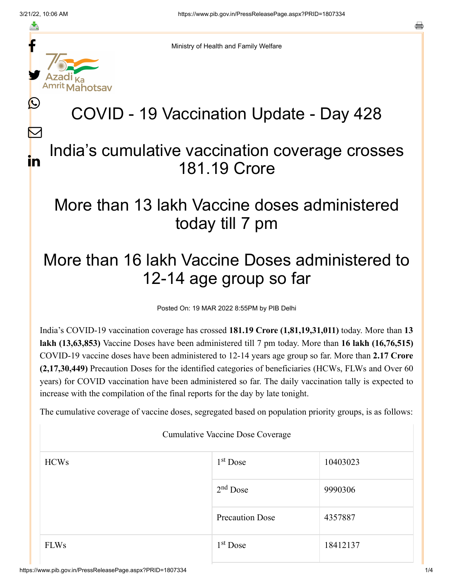f

≛

y.

ahotsav

Ŀ

 $\bm{\nabla}$ 

in

a

Ministry of Health and Family Welfare

# COVID - 19 Vaccination Update - Day 428

#### India's cumulative vaccination coverage crosses 181.19 Crore

### More than 13 lakh Vaccine doses administered today till 7 pm

## More than 16 lakh Vaccine Doses administered to 12-14 age group so far

Posted On: 19 MAR 2022 8:55PM by PIB Delhi

India's COVID-19 vaccination coverage has crossed **181.19 Crore (1,81,19,31,011)** today. More than **13 lakh (13,63,853)** Vaccine Doses have been administered till 7 pm today. More than **16 lakh (16,76,515)** COVID-19 vaccine doses have been administered to 12-14 years age group so far. More than **2.17 Crore (2,17,30,449)** Precaution Doses for the identified categories of beneficiaries (HCWs, FLWs and Over 60 years) for COVID vaccination have been administered so far. The daily vaccination tally is expected to increase with the compilation of the final reports for the day by late tonight.

The cumulative coverage of vaccine doses, segregated based on population priority groups, is as follows:

Cumulative Vaccine Dose Coverage

| <b>HCWs</b> | $1st$ Dose             | 10403023 |
|-------------|------------------------|----------|
|             | $2nd$ Dose             | 9990306  |
|             | <b>Precaution Dose</b> | 4357887  |
| <b>FLWs</b> | $1st$ Dose             | 18412137 |

https://www.pib.gov.in/PressReleasePage.aspx?PRID=1807334 1/4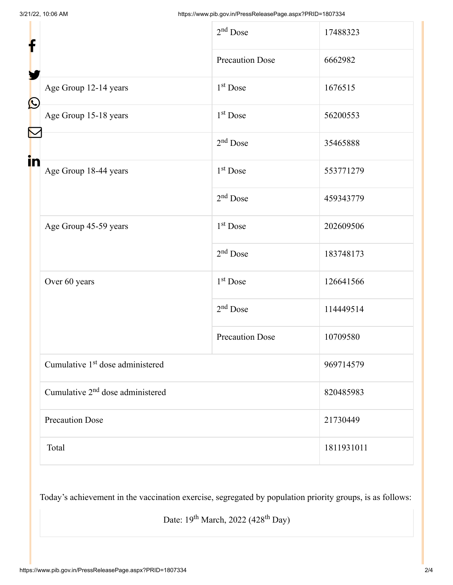| f                  |                                              | $2nd$ Dose             | 17488323   |
|--------------------|----------------------------------------------|------------------------|------------|
|                    |                                              | <b>Precaution Dose</b> | 6662982    |
| $\bf \Omega$<br>in | Age Group 12-14 years                        | $1st$ Dose             | 1676515    |
|                    | Age Group 15-18 years                        | 1 <sup>st</sup> Dose   | 56200553   |
|                    |                                              | $2nd$ Dose             | 35465888   |
|                    | Age Group 18-44 years                        | $1st$ Dose             | 553771279  |
|                    |                                              | $2nd$ Dose             | 459343779  |
|                    | Age Group 45-59 years                        | 1 <sup>st</sup> Dose   | 202609506  |
|                    |                                              | $2nd$ Dose             | 183748173  |
|                    | Over 60 years                                | $1st$ Dose             | 126641566  |
|                    |                                              | $2nd$ Dose             | 114449514  |
|                    |                                              | <b>Precaution Dose</b> | 10709580   |
|                    | Cumulative 1 <sup>st</sup> dose administered |                        | 969714579  |
|                    | Cumulative 2 <sup>nd</sup> dose administered |                        | 820485983  |
|                    | <b>Precaution Dose</b>                       |                        | 21730449   |
|                    | Total                                        |                        | 1811931011 |

Today's achievement in the vaccination exercise, segregated by population priority groups, is as follows:

Date:  $19^{th}$  March,  $2022$  (428<sup>th</sup> Day)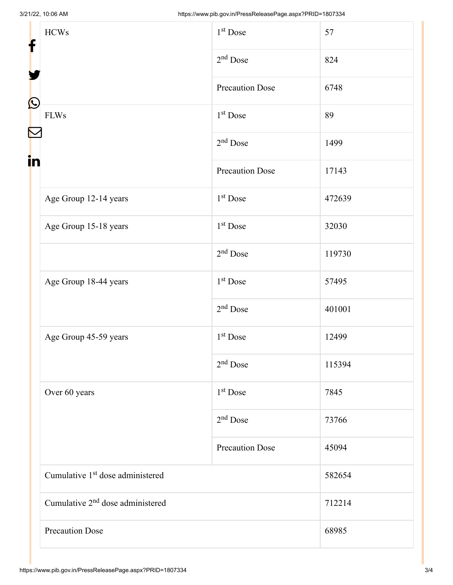| f<br>$\bf \Omega$ | <b>HCWs</b>                                  | 1 <sup>st</sup> Dose   | 57     |
|-------------------|----------------------------------------------|------------------------|--------|
|                   |                                              | $2nd$ Dose             | 824    |
|                   |                                              | <b>Precaution Dose</b> | 6748   |
|                   | <b>FLWs</b>                                  | 1 <sup>st</sup> Dose   | 89     |
|                   |                                              | $2nd$ Dose             | 1499   |
| in                |                                              | <b>Precaution Dose</b> | 17143  |
|                   | Age Group 12-14 years                        | 1 <sup>st</sup> Dose   | 472639 |
|                   | Age Group 15-18 years                        | 1 <sup>st</sup> Dose   | 32030  |
|                   |                                              | $2nd$ Dose             | 119730 |
|                   | Age Group 18-44 years                        | $1st$ Dose             | 57495  |
|                   |                                              | $2nd$ Dose             | 401001 |
|                   | Age Group 45-59 years                        | $1st$ Dose             | 12499  |
|                   |                                              | $2nd$ Dose             | 115394 |
|                   | Over 60 years                                | 1 <sup>st</sup> Dose   | 7845   |
|                   |                                              | $2nd$ Dose             | 73766  |
|                   |                                              | <b>Precaution Dose</b> | 45094  |
|                   | Cumulative 1 <sup>st</sup> dose administered |                        | 582654 |
|                   | Cumulative 2 <sup>nd</sup> dose administered |                        | 712214 |
|                   | <b>Precaution Dose</b>                       |                        | 68985  |